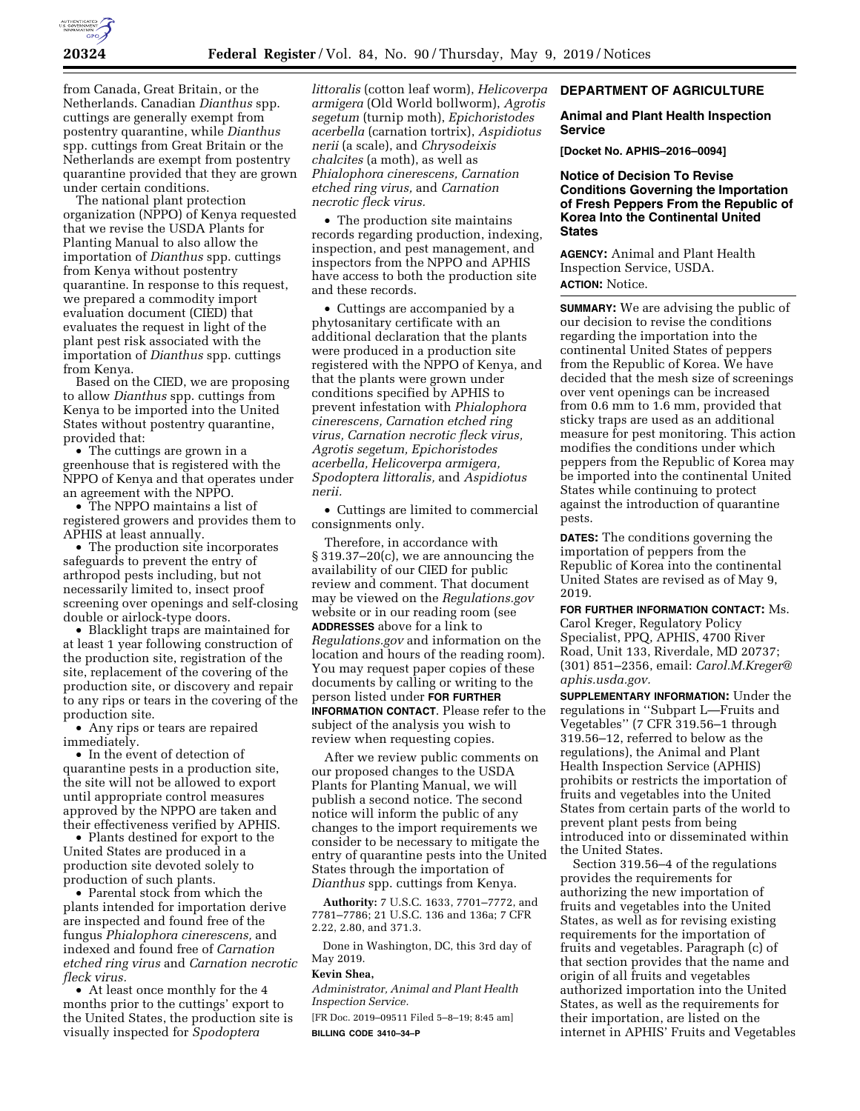

from Canada, Great Britain, or the Netherlands. Canadian *Dianthus* spp. cuttings are generally exempt from postentry quarantine, while *Dianthus*  spp. cuttings from Great Britain or the Netherlands are exempt from postentry quarantine provided that they are grown under certain conditions.

The national plant protection organization (NPPO) of Kenya requested that we revise the USDA Plants for Planting Manual to also allow the importation of *Dianthus* spp. cuttings from Kenya without postentry quarantine. In response to this request, we prepared a commodity import evaluation document (CIED) that evaluates the request in light of the plant pest risk associated with the importation of *Dianthus* spp. cuttings from Kenya.

Based on the CIED, we are proposing to allow *Dianthus* spp. cuttings from Kenya to be imported into the United States without postentry quarantine, provided that:

• The cuttings are grown in a greenhouse that is registered with the NPPO of Kenya and that operates under an agreement with the NPPO.

• The NPPO maintains a list of registered growers and provides them to APHIS at least annually.

• The production site incorporates safeguards to prevent the entry of arthropod pests including, but not necessarily limited to, insect proof screening over openings and self-closing double or airlock-type doors.

• Blacklight traps are maintained for at least 1 year following construction of the production site, registration of the site, replacement of the covering of the production site, or discovery and repair to any rips or tears in the covering of the production site.

• Any rips or tears are repaired immediately.

• In the event of detection of quarantine pests in a production site, the site will not be allowed to export until appropriate control measures approved by the NPPO are taken and their effectiveness verified by APHIS.

• Plants destined for export to the United States are produced in a production site devoted solely to production of such plants.

• Parental stock from which the plants intended for importation derive are inspected and found free of the fungus *Phialophora cinerescens,* and indexed and found free of *Carnation etched ring virus* and *Carnation necrotic fleck virus.* 

• At least once monthly for the 4 months prior to the cuttings' export to the United States, the production site is visually inspected for *Spodoptera* 

*littoralis* (cotton leaf worm), *Helicoverpa armigera* (Old World bollworm), *Agrotis segetum* (turnip moth), *Epichoristodes acerbella* (carnation tortrix), *Aspidiotus nerii* (a scale), and *Chrysodeixis chalcites* (a moth), as well as *Phialophora cinerescens, Carnation etched ring virus,* and *Carnation necrotic fleck virus.* 

• The production site maintains records regarding production, indexing, inspection, and pest management, and inspectors from the NPPO and APHIS have access to both the production site and these records.

• Cuttings are accompanied by a phytosanitary certificate with an additional declaration that the plants were produced in a production site registered with the NPPO of Kenya, and that the plants were grown under conditions specified by APHIS to prevent infestation with *Phialophora cinerescens, Carnation etched ring virus, Carnation necrotic fleck virus, Agrotis segetum, Epichoristodes acerbella, Helicoverpa armigera, Spodoptera littoralis,* and *Aspidiotus nerii.* 

• Cuttings are limited to commercial consignments only.

Therefore, in accordance with § 319.37–20(c), we are announcing the availability of our CIED for public review and comment. That document may be viewed on the *Regulations.gov*  website or in our reading room (see **ADDRESSES** above for a link to *Regulations.gov* and information on the location and hours of the reading room). You may request paper copies of these documents by calling or writing to the person listed under **FOR FURTHER INFORMATION CONTACT**. Please refer to the subject of the analysis you wish to

review when requesting copies.

After we review public comments on our proposed changes to the USDA Plants for Planting Manual, we will publish a second notice. The second notice will inform the public of any changes to the import requirements we consider to be necessary to mitigate the entry of quarantine pests into the United States through the importation of *Dianthus* spp. cuttings from Kenya.

**Authority:** 7 U.S.C. 1633, 7701–7772, and 7781–7786; 21 U.S.C. 136 and 136a; 7 CFR 2.22, 2.80, and 371.3.

Done in Washington, DC, this 3rd day of May 2019.

# **Kevin Shea,**

*Administrator, Animal and Plant Health Inspection Service.* 

[FR Doc. 2019–09511 Filed 5–8–19; 8:45 am] **BILLING CODE 3410–34–P** 

#### **DEPARTMENT OF AGRICULTURE**

#### **Animal and Plant Health Inspection Service**

**[Docket No. APHIS–2016–0094]** 

# **Notice of Decision To Revise Conditions Governing the Importation of Fresh Peppers From the Republic of Korea Into the Continental United States**

**AGENCY:** Animal and Plant Health Inspection Service, USDA. **ACTION:** Notice.

**SUMMARY:** We are advising the public of our decision to revise the conditions regarding the importation into the continental United States of peppers from the Republic of Korea. We have decided that the mesh size of screenings over vent openings can be increased from 0.6 mm to 1.6 mm, provided that sticky traps are used as an additional measure for pest monitoring. This action modifies the conditions under which peppers from the Republic of Korea may be imported into the continental United States while continuing to protect against the introduction of quarantine pests.

**DATES:** The conditions governing the importation of peppers from the Republic of Korea into the continental United States are revised as of May 9, 2019.

**FOR FURTHER INFORMATION CONTACT:** Ms. Carol Kreger, Regulatory Policy Specialist, PPQ, APHIS, 4700 River Road, Unit 133, Riverdale, MD 20737; (301) 851–2356, email: *[Carol.M.Kreger@](mailto:Carol.M.Kreger@aphis.usda.gov) [aphis.usda.gov.](mailto:Carol.M.Kreger@aphis.usda.gov)* 

**SUPPLEMENTARY INFORMATION:** Under the regulations in ''Subpart L—Fruits and Vegetables'' (7 CFR 319.56–1 through 319.56–12, referred to below as the regulations), the Animal and Plant Health Inspection Service (APHIS) prohibits or restricts the importation of fruits and vegetables into the United States from certain parts of the world to prevent plant pests from being introduced into or disseminated within the United States.

Section 319.56–4 of the regulations provides the requirements for authorizing the new importation of fruits and vegetables into the United States, as well as for revising existing requirements for the importation of fruits and vegetables. Paragraph (c) of that section provides that the name and origin of all fruits and vegetables authorized importation into the United States, as well as the requirements for their importation, are listed on the internet in APHIS' Fruits and Vegetables